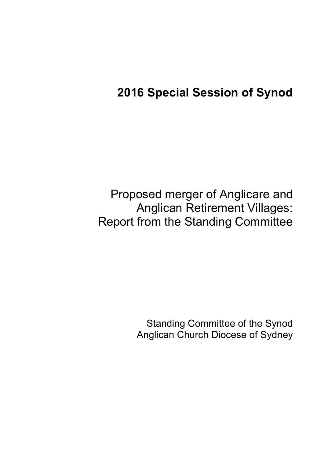# **2016 Special Session of Synod**

Proposed merger of Anglicare and Anglican Retirement Villages: Report from the Standing Committee

> Standing Committee of the Synod Anglican Church Diocese of Sydney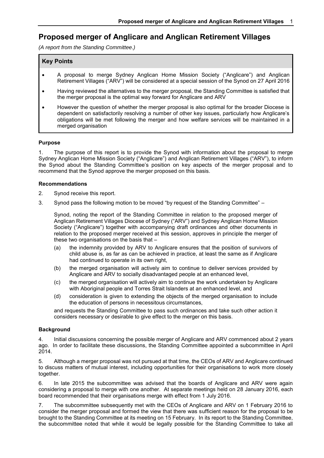## **Proposed merger of Anglicare and Anglican Retirement Villages**

*(A report from the Standing Committee.)* 

#### **Key Points**

- A proposal to merge Sydney Anglican Home Mission Society ("Anglicare") and Anglican Retirement Villages ("ARV") will be considered at a special session of the Synod on 27 April 2016
- Having reviewed the alternatives to the merger proposal, the Standing Committee is satisfied that the merger proposal is the optimal way forward for Anglicare and ARV
- However the question of whether the merger proposal is also optimal for the broader Diocese is dependent on satisfactorily resolving a number of other key issues, particularly how Anglicare's obligations will be met following the merger and how welfare services will be maintained in a merged organisation

#### **Purpose**

1. The purpose of this report is to provide the Synod with information about the proposal to merge Sydney Anglican Home Mission Society ("Anglicare") and Anglican Retirement Villages ("ARV"), to inform the Synod about the Standing Committee's position on key aspects of the merger proposal and to recommend that the Synod approve the merger proposed on this basis.

#### **Recommendations**

- 2. Synod receive this report.
- 3. Synod pass the following motion to be moved "by request of the Standing Committee" –

Synod, noting the report of the Standing Committee in relation to the proposed merger of Anglican Retirement Villages Diocese of Sydney ("ARV") and Sydney Anglican Home Mission Society ("Anglicare") together with accompanying draft ordinances and other documents in relation to the proposed merger received at this session, approves in principle the merger of these two organisations on the basis that –

- (a) the indemnity provided by ARV to Anglicare ensures that the position of survivors of child abuse is, as far as can be achieved in practice, at least the same as if Anglicare had continued to operate in its own right,
- (b) the merged organisation will actively aim to continue to deliver services provided by Anglicare and ARV to socially disadvantaged people at an enhanced level,
- (c) the merged organisation will actively aim to continue the work undertaken by Anglicare with Aboriginal people and Torres Strait Islanders at an enhanced level, and
- (d) consideration is given to extending the objects of the merged organisation to include the education of persons in necessitous circumstances,

and requests the Standing Committee to pass such ordinances and take such other action it considers necessary or desirable to give effect to the merger on this basis.

#### **Background**

4. Initial discussions concerning the possible merger of Anglicare and ARV commenced about 2 years ago. In order to facilitate these discussions, the Standing Committee appointed a subcommittee in April 2014.

5. Although a merger proposal was not pursued at that time, the CEOs of ARV and Anglicare continued to discuss matters of mutual interest, including opportunities for their organisations to work more closely together.

6. In late 2015 the subcommittee was advised that the boards of Anglicare and ARV were again considering a proposal to merge with one another. At separate meetings held on 28 January 2016, each board recommended that their organisations merge with effect from 1 July 2016.

7. The subcommittee subsequently met with the CEOs of Anglicare and ARV on 1 February 2016 to consider the merger proposal and formed the view that there was sufficient reason for the proposal to be brought to the Standing Committee at its meeting on 15 February. In its report to the Standing Committee, the subcommittee noted that while it would be legally possible for the Standing Committee to take all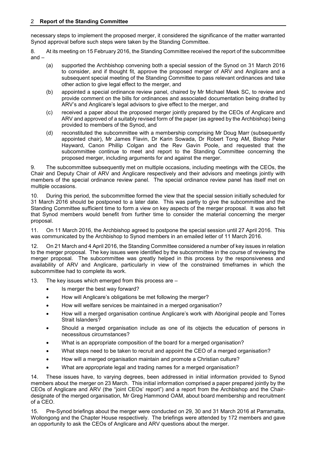necessary steps to implement the proposed merger, it considered the significance of the matter warranted Synod approval before such steps were taken by the Standing Committee.

8. At its meeting on 15 February 2016, the Standing Committee received the report of the subcommittee and –

- (a) supported the Archbishop convening both a special session of the Synod on 31 March 2016 to consider, and if thought fit, approve the proposed merger of ARV and Anglicare and a subsequent special meeting of the Standing Committee to pass relevant ordinances and take other action to give legal effect to the merger, and
- (b) appointed a special ordinance review panel, chaired by Mr Michael Meek SC, to review and provide comment on the bills for ordinances and associated documentation being drafted by ARV's and Anglicare's legal advisors to give effect to the merger, and
- (c) received a paper about the proposed merger jointly prepared by the CEOs of Anglicare and ARV and approved of a suitably revised form of the paper (as agreed by the Archbishop) being provided to members of the Synod, and
- (d) reconstituted the subcommittee with a membership comprising Mr Doug Marr (subsequently appointed chair), Mr James Flavin, Dr Karin Sowada, Dr Robert Tong AM, Bishop Peter Hayward, Canon Phillip Colgan and the Rev Gavin Poole, and requested that the subcommittee continue to meet and report to the Standing Committee concerning the proposed merger, including arguments for and against the merger.

9. The subcommittee subsequently met on multiple occasions, including meetings with the CEOs, the Chair and Deputy Chair of ARV and Anglicare respectively and their advisors and meetings jointly with members of the special ordinance review panel. The special ordinance review panel has itself met on multiple occasions.

10. During this period, the subcommittee formed the view that the special session initially scheduled for 31 March 2016 should be postponed to a later date. This was partly to give the subcommittee and the Standing Committee sufficient time to form a view on key aspects of the merger proposal. It was also felt that Synod members would benefit from further time to consider the material concerning the merger proposal.

11. On 11 March 2016, the Archbishop agreed to postpone the special session until 27 April 2016. This was communicated by the Archbishop to Synod members in an emailed letter of 11 March 2016.

12. On 21 March and 4 April 2016, the Standing Committee considered a number of key issues in relation to the merger proposal. The key issues were identified by the subcommittee in the course of reviewing the merger proposal. The subcommittee was greatly helped in this process by the responsiveness and availability of ARV and Anglicare, particularly in view of the constrained timeframes in which the subcommittee had to complete its work.

13. The key issues which emerged from this process are –

- Is merger the best way forward?
- How will Anglicare's obligations be met following the merger?
- How will welfare services be maintained in a merged organisation?
- How will a merged organisation continue Anglicare's work with Aboriginal people and Torres Strait Islanders?
- Should a merged organisation include as one of its objects the education of persons in necessitous circumstances?
- What is an appropriate composition of the board for a merged organisation?
- What steps need to be taken to recruit and appoint the CEO of a merged organisation?
- How will a merged organisation maintain and promote a Christian culture?
- What are appropriate legal and trading names for a merged organisation?

14. These issues have, to varying degrees, been addressed in initial information provided to Synod members about the merger on 23 March. This initial information comprised a paper prepared jointly by the CEOs of Anglicare and ARV (the "joint CEOs' report") and a report from the Archbishop and the Chairdesignate of the merged organisation, Mr Greg Hammond OAM, about board membership and recruitment of a CEO.

15. Pre-Synod briefings about the merger were conducted on 29, 30 and 31 March 2016 at Parramatta, Wollongong and the Chapter House respectively. The briefings were attended by 172 members and gave an opportunity to ask the CEOs of Anglicare and ARV questions about the merger.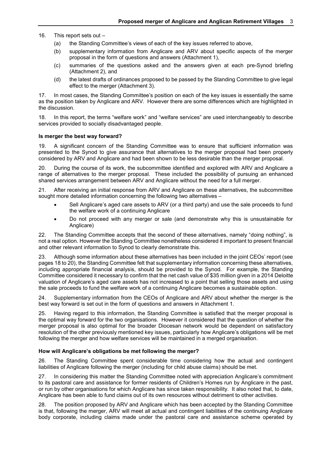16. This report sets out –

- (a) the Standing Committee's views of each of the key issues referred to above,
- (b) supplementary information from Anglicare and ARV about specific aspects of the merger proposal in the form of questions and answers (Attachment 1),
- (c) summaries of the questions asked and the answers given at each pre-Synod briefing (Attachment 2), and
- (d) the latest drafts of ordinances proposed to be passed by the Standing Committee to give legal effect to the merger (Attachment 3).

17. In most cases, the Standing Committee's position on each of the key issues is essentially the same as the position taken by Anglicare and ARV. However there are some differences which are highlighted in the discussion.

18. In this report, the terms "welfare work" and "welfare services" are used interchangeably to describe services provided to socially disadvantaged people.

#### **Is merger the best way forward?**

19. A significant concern of the Standing Committee was to ensure that sufficient information was presented to the Synod to give assurance that alternatives to the merger proposal had been properly considered by ARV and Anglicare and had been shown to be less desirable than the merger proposal.

20. During the course of its work, the subcommittee identified and explored with ARV and Anglicare a range of alternatives to the merger proposal. These included the possibility of pursuing an enhanced shared services arrangement between ARV and Anglicare without the need for a full merger.

21. After receiving an initial response from ARV and Anglicare on these alternatives, the subcommittee sought more detailed information concerning the following two alternatives –

- Sell Anglicare's aged care assets to ARV (or a third party) and use the sale proceeds to fund the welfare work of a continuing Anglicare
- Do not proceed with any merger or sale (and demonstrate why this is unsustainable for Anglicare)

22. The Standing Committee accepts that the second of these alternatives, namely "doing nothing", is not a real option. However the Standing Committee nonetheless considered it important to present financial and other relevant information to Synod to clearly demonstrate this.

23. Although some information about these alternatives has been included in the joint CEOs' report (see pages 18 to 20), the Standing Committee felt that supplementary information concerning these alternatives, including appropriate financial analysis, should be provided to the Synod. For example, the Standing Committee considered it necessary to confirm that the net cash value of \$35 million given in a 2014 Deloitte valuation of Anglicare's aged care assets has not increased to a point that selling those assets and using the sale proceeds to fund the welfare work of a continuing Anglicare becomes a sustainable option.

24. Supplementary information from the CEOs of Anglicare and ARV about whether the merger is the best way forward is set out in the form of questions and answers in Attachment 1.

25. Having regard to this information, the Standing Committee is satisfied that the merger proposal is the optimal way forward for the two organisations. However it considered that the question of whether the merger proposal is also optimal for the broader Diocesan network would be dependent on satisfactory resolution of the other previously mentioned key issues, particularly how Anglicare's obligations will be met following the merger and how welfare services will be maintained in a merged organisation.

#### **How will Anglicare's obligations be met following the merger?**

26. The Standing Committee spent considerable time considering how the actual and contingent liabilities of Anglicare following the merger (including for child abuse claims) should be met.

27. In considering this matter the Standing Committee noted with appreciation Anglicare's commitment to its pastoral care and assistance for former residents of Children's Homes run by Anglicare in the past, or run by other organisations for which Anglicare has since taken responsibility. It also noted that, to date, Anglicare has been able to fund claims out of its own resources without detriment to other activities.

28. The position proposed by ARV and Anglicare which has been accepted by the Standing Committee is that, following the merger, ARV will meet all actual and contingent liabilities of the continuing Anglicare body corporate, including claims made under the pastoral care and assistance scheme operated by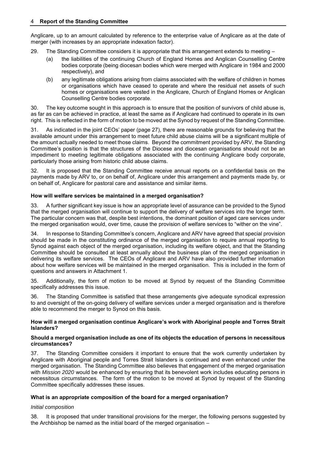Anglicare, up to an amount calculated by reference to the enterprise value of Anglicare as at the date of merger (with increases by an appropriate indexation factor).

- 29. The Standing Committee considers it is appropriate that this arrangement extends to meeting
	- (a) the liabilities of the continuing Church of England Homes and Anglican Counselling Centre bodies corporate (being diocesan bodies which were merged with Anglicare in 1984 and 2000 respectively), and
	- (b) any legitimate obligations arising from claims associated with the welfare of children in homes or organisations which have ceased to operate and where the residual net assets of such homes or organisations were vested in the Anglicare, Church of England Homes or Anglican Counselling Centre bodies corporate.

30. The key outcome sought in this approach is to ensure that the position of survivors of child abuse is, as far as can be achieved in practice, at least the same as if Anglicare had continued to operate in its own right. This is reflected in the form of motion to be moved at the Synod by request of the Standing Committee.

31. As indicated in the joint CEOs' paper (page 27), there are reasonable grounds for believing that the available amount under this arrangement to meet future child abuse claims will be a significant multiple of the amount actually needed to meet those claims. Beyond the commitment provided by ARV, the Standing Committee's position is that the structures of the Diocese and diocesan organisations should not be an impediment to meeting legitimate obligations associated with the continuing Anglicare body corporate, particularly those arising from historic child abuse claims.

32. It is proposed that the Standing Committee receive annual reports on a confidential basis on the payments made by ARV to, or on behalf of, Anglicare under this arrangement and payments made by, or on behalf of, Anglicare for pastoral care and assistance and similar items.

#### **How will welfare services be maintained in a merged organisation?**

33. A further significant key issue is how an appropriate level of assurance can be provided to the Synod that the merged organisation will continue to support the delivery of welfare services into the longer term. The particular concern was that, despite best intentions, the dominant position of aged care services under the merged organisation would, over time, cause the provision of welfare services to "wither on the vine".

34. In response to Standing Committee's concern, Anglicare and ARV have agreed that special provision should be made in the constituting ordinance of the merged organisation to require annual reporting to Synod against each object of the merged organisation, including its welfare object, and that the Standing Committee should be consulted at least annually about the business plan of the merged organisation in delivering its welfare services. The CEOs of Anglicare and ARV have also provided further information about how welfare services will be maintained in the merged organisation. This is included in the form of questions and answers in Attachment 1.

35. Additionally, the form of motion to be moved at Synod by request of the Standing Committee specifically addresses this issue.

36. The Standing Committee is satisfied that these arrangements give adequate synodical expression to and oversight of the on-going delivery of welfare services under a merged organisation and is therefore able to recommend the merger to Synod on this basis.

#### **How will a merged organisation continue Anglicare's work with Aboriginal people and Torres Strait Islanders?**

#### **Should a merged organisation include as one of its objects the education of persons in necessitous circumstances?**

37. The Standing Committee considers it important to ensure that the work currently undertaken by Anglicare with Aboriginal people and Torres Strait Islanders is continued and even enhanced under the merged organisation. The Standing Committee also believes that engagement of the merged organisation with *Mission 2020* would be enhanced by ensuring that its benevolent work includes educating persons in necessitous circumstances. The form of the motion to be moved at Synod by request of the Standing Committee specifically addresses these issues.

#### **What is an appropriate composition of the board for a merged organisation?**

#### *Initial composition*

38. It is proposed that under transitional provisions for the merger, the following persons suggested by the Archbishop be named as the initial board of the merged organisation –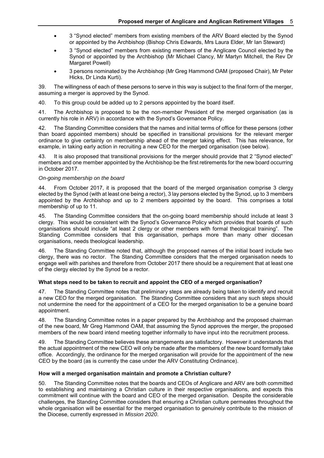- 3 "Synod elected" members from existing members of the ARV Board elected by the Synod or appointed by the Archbishop (Bishop Chris Edwards, Mrs Laura Elder, Mr Ian Steward)
- 3 "Synod elected" members from existing members of the Anglicare Council elected by the Synod or appointed by the Archbishop (Mr Michael Clancy, Mr Martyn Mitchell, the Rev Dr Margaret Powell)
- 3 persons nominated by the Archbishop (Mr Greg Hammond OAM (proposed Chair), Mr Peter Hicks, Dr Linda Kurti).

39. The willingness of each of these persons to serve in this way is subject to the final form of the merger, assuming a merger is approved by the Synod.

40. To this group could be added up to 2 persons appointed by the board itself.

41. The Archbishop is proposed to be the non-member President of the merged organisation (as is currently his role in ARV) in accordance with the Synod's Governance Policy.

42. The Standing Committee considers that the names and initial terms of office for these persons (other than board appointed members) should be specified in transitional provisions for the relevant merger ordinance to give certainty on membership ahead of the merger taking effect. This has relevance, for example, in taking early action in recruiting a new CEO for the merged organisation (see below).

43. It is also proposed that transitional provisions for the merger should provide that 2 "Synod elected" members and one member appointed by the Archbishop be the first retirements for the new board occurring in October 2017.

#### *On-going membership on the board*

44. From October 2017, it is proposed that the board of the merged organisation comprise 3 clergy elected by the Synod (with at least one being a rector), 3 lay persons elected by the Synod, up to 3 members appointed by the Archbishop and up to 2 members appointed by the board. This comprises a total membership of up to 11.

45. The Standing Committee considers that the on-going board membership should include at least 3 clergy. This would be consistent with the Synod's Governance Policy which provides that boards of such organisations should include "at least 2 clergy or other members with formal theological training". The Standing Committee considers that this organisation, perhaps more than many other diocesan organisations, needs theological leadership.

46. The Standing Committee noted that, although the proposed names of the initial board include two clergy, there was no rector. The Standing Committee considers that the merged organisation needs to engage well with parishes and therefore from October 2017 there should be a requirement that at least one of the clergy elected by the Synod be a rector.

#### **What steps need to be taken to recruit and appoint the CEO of a merged organisation?**

The Standing Committee notes that preliminary steps are already being taken to identify and recruit a new CEO for the merged organisation. The Standing Committee considers that any such steps should not undermine the need for the appointment of a CEO for the merged organisation to be a genuine board appointment.

48. The Standing Committee notes in a paper prepared by the Archbishop and the proposed chairman of the new board, Mr Greg Hammond OAM, that assuming the Synod approves the merger, the proposed members of the new board intend meeting together informally to have input into the recruitment process.

49. The Standing Committee believes these arrangements are satisfactory. However it understands that the actual appointment of the new CEO will only be made after the members of the new board formally take office. Accordingly, the ordinance for the merged organisation will provide for the appointment of the new CEO by the board (as is currently the case under the ARV Constituting Ordinance).

#### **How will a merged organisation maintain and promote a Christian culture?**

50. The Standing Committee notes that the boards and CEOs of Anglicare and ARV are both committed to establishing and maintaining a Christian culture in their respective organisations, and expects this commitment will continue with the board and CEO of the merged organisation. Despite the considerable challenges, the Standing Committee considers that ensuring a Christian culture permeates throughout the whole organisation will be essential for the merged organisation to genuinely contribute to the mission of the Diocese, currently expressed in *Mission 2020*.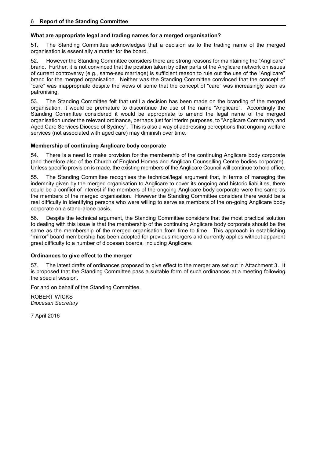#### **What are appropriate legal and trading names for a merged organisation?**

51. The Standing Committee acknowledges that a decision as to the trading name of the merged organisation is essentially a matter for the board.

52. However the Standing Committee considers there are strong reasons for maintaining the "Anglicare" brand. Further, it is not convinced that the position taken by other parts of the Anglicare network on issues of current controversy (e.g., same-sex marriage) is sufficient reason to rule out the use of the "Anglicare" brand for the merged organisation. Neither was the Standing Committee convinced that the concept of "care" was inappropriate despite the views of some that the concept of "care" was increasingly seen as patronising.

53. The Standing Committee felt that until a decision has been made on the branding of the merged organisation, it would be premature to discontinue the use of the name "Anglicare". Accordingly the Standing Committee considered it would be appropriate to amend the legal name of the merged organisation under the relevant ordinance, perhaps just for interim purposes, to "Anglicare Community and Aged Care Services Diocese of Sydney". This is also a way of addressing perceptions that ongoing welfare services (not associated with aged care) may diminish over time.

#### **Membership of continuing Anglicare body corporate**

54. There is a need to make provision for the membership of the continuing Anglicare body corporate (and therefore also of the Church of England Homes and Anglican Counselling Centre bodies corporate). Unless specific provision is made, the existing members of the Anglicare Council will continue to hold office.

55. The Standing Committee recognises the technical/legal argument that, in terms of managing the indemnity given by the merged organisation to Anglicare to cover its ongoing and historic liabilities, there could be a conflict of interest if the members of the ongoing Anglicare body corporate were the same as the members of the merged organisation. However the Standing Committee considers there would be a real difficulty in identifying persons who were willing to serve as members of the on-going Anglicare body corporate on a stand-alone basis.

56. Despite the technical argument, the Standing Committee considers that the most practical solution to dealing with this issue is that the membership of the continuing Anglicare body corporate should be the same as the membership of the merged organisation from time to time. This approach in establishing "mirror" board membership has been adopted for previous mergers and currently applies without apparent great difficulty to a number of diocesan boards, including Anglicare.

#### **Ordinances to give effect to the merger**

57. The latest drafts of ordinances proposed to give effect to the merger are set out in Attachment 3. It is proposed that the Standing Committee pass a suitable form of such ordinances at a meeting following the special session.

For and on behalf of the Standing Committee.

ROBERT WICKS *Diocesan Secretary* 

7 April 2016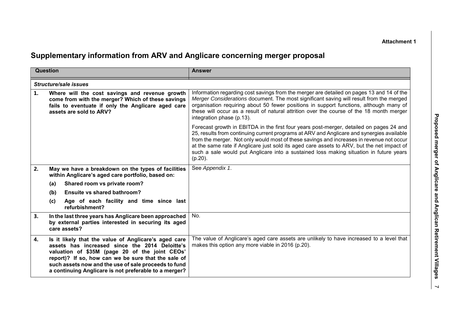**Attachment 1** 

## **Supplementary information from ARV and Anglicare concerning merger proposal**

|    | Question                                                                                                                                                                                                                                                                                                                         | <b>Answer</b>                                                                                                                                                                                                                                                                                                                                                                                                                                                                          |
|----|----------------------------------------------------------------------------------------------------------------------------------------------------------------------------------------------------------------------------------------------------------------------------------------------------------------------------------|----------------------------------------------------------------------------------------------------------------------------------------------------------------------------------------------------------------------------------------------------------------------------------------------------------------------------------------------------------------------------------------------------------------------------------------------------------------------------------------|
|    | <b>Structure/sale issues</b>                                                                                                                                                                                                                                                                                                     |                                                                                                                                                                                                                                                                                                                                                                                                                                                                                        |
| 1. | Where will the cost savings and revenue growth<br>come from with the merger? Which of these savings<br>fails to eventuate if only the Anglicare aged care<br>assets are sold to ARV?                                                                                                                                             | Information regarding cost savings from the merger are detailed on pages 13 and 14 of the<br>Merger Considerations document. The most significant saving will result from the merged<br>organisation requiring about 50 fewer positions in support functions, although many of<br>these will occur as a result of natural attrition over the course of the 18 month merger<br>integration phase (p.13).                                                                                |
|    |                                                                                                                                                                                                                                                                                                                                  | Forecast growth in EBITDA in the first four years post-merger, detailed on pages 24 and<br>25, results from continuing current programs at ARV and Anglicare and synergies available<br>from the merger. Not only would most of these savings and increases in revenue not occur<br>at the same rate if Anglicare just sold its aged care assets to ARV, but the net impact of<br>such a sale would put Anglicare into a sustained loss making situation in future years<br>$(p.20)$ . |
| 2. | May we have a breakdown on the types of facilities<br>within Anglicare's aged care portfolio, based on:                                                                                                                                                                                                                          | See Appendix 1.                                                                                                                                                                                                                                                                                                                                                                                                                                                                        |
|    | Shared room vs private room?<br>(a)                                                                                                                                                                                                                                                                                              |                                                                                                                                                                                                                                                                                                                                                                                                                                                                                        |
|    | Ensuite vs shared bathroom?<br>(b)                                                                                                                                                                                                                                                                                               |                                                                                                                                                                                                                                                                                                                                                                                                                                                                                        |
|    | Age of each facility and time since last<br>(c)<br>refurbishment?                                                                                                                                                                                                                                                                |                                                                                                                                                                                                                                                                                                                                                                                                                                                                                        |
| 3. | In the last three years has Anglicare been approached<br>by external parties interested in securing its aged<br>care assets?                                                                                                                                                                                                     | No.                                                                                                                                                                                                                                                                                                                                                                                                                                                                                    |
| 4. | Is it likely that the value of Anglicare's aged care<br>assets has increased since the 2014 Deloitte's<br>valuation of \$35M (page 20 of the joint CEOs'<br>report)? If so, how can we be sure that the sale of<br>such assets now and the use of sale proceeds to fund<br>a continuing Anglicare is not preferable to a merger? | The value of Anglicare's aged care assets are unlikely to have increased to a level that<br>makes this option any more viable in 2016 (p.20).                                                                                                                                                                                                                                                                                                                                          |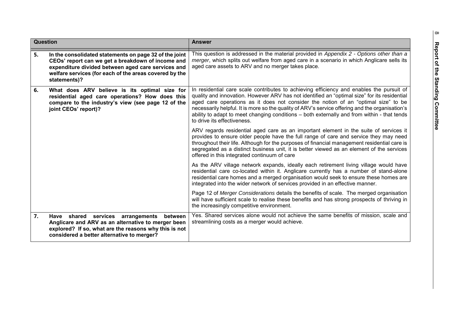| <b>Question</b> |                                                                                                                                                                                                                                             | <b>Answer</b>                                                                                                                                                                                                                                                                                                                                                                                                                                                                                                   |
|-----------------|---------------------------------------------------------------------------------------------------------------------------------------------------------------------------------------------------------------------------------------------|-----------------------------------------------------------------------------------------------------------------------------------------------------------------------------------------------------------------------------------------------------------------------------------------------------------------------------------------------------------------------------------------------------------------------------------------------------------------------------------------------------------------|
| 5.              | In the consolidated statements on page 32 of the joint<br>CEOs' report can we get a breakdown of income and<br>expenditure divided between aged care services and<br>welfare services (for each of the areas covered by the<br>statements)? | This question is addressed in the material provided in Appendix 2 - Options other than a<br>merger, which splits out welfare from aged care in a scenario in which Anglicare sells its<br>aged care assets to ARV and no merger takes place.                                                                                                                                                                                                                                                                    |
| 6.              | What does ARV believe is its optimal size for<br>residential aged care operations? How does this<br>compare to the industry's view (see page 12 of the<br>joint CEOs' report)?                                                              | In residential care scale contributes to achieving efficiency and enables the pursuit of<br>quality and innovation. However ARV has not identified an "optimal size" for its residential<br>aged care operations as it does not consider the notion of an "optimal size" to be<br>necessarily helpful. It is more so the quality of ARV's service offering and the organisation's<br>ability to adapt to meet changing conditions - both externally and from within - that tends<br>to drive its effectiveness. |
|                 |                                                                                                                                                                                                                                             | ARV regards residential aged care as an important element in the suite of services it<br>provides to ensure older people have the full range of care and service they may need<br>throughout their life. Although for the purposes of financial management residential care is<br>segregated as a distinct business unit, it is better viewed as an element of the services<br>offered in this integrated continuum of care                                                                                     |
|                 |                                                                                                                                                                                                                                             | As the ARV village network expands, ideally each retirement living village would have<br>residential care co-located within it. Anglicare currently has a number of stand-alone<br>residential care homes and a merged organisation would seek to ensure these homes are<br>integrated into the wider network of services provided in an effective manner.                                                                                                                                                      |
|                 |                                                                                                                                                                                                                                             | Page 12 of Merger Considerations details the benefits of scale. The merged organisation<br>will have sufficient scale to realise these benefits and has strong prospects of thriving in<br>the increasingly competitive environment.                                                                                                                                                                                                                                                                            |
| 7.              | Have shared services arrangements<br>between<br>Anglicare and ARV as an alternative to merger been<br>explored? If so, what are the reasons why this is not<br>considered a better alternative to merger?                                   | Yes. Shared services alone would not achieve the same benefits of mission, scale and<br>streamlining costs as a merger would achieve.                                                                                                                                                                                                                                                                                                                                                                           |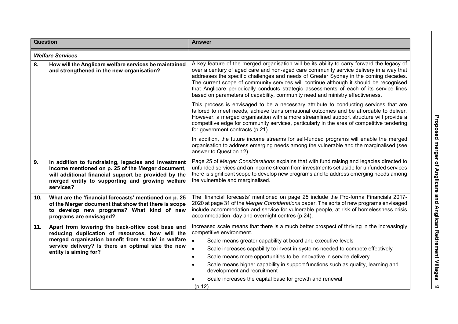| Question |                                                                                                                                                                                                                                            | <b>Answer</b>                                                                                                                                                                                                                                                                                                                                                                                                                                                                                                                                                                              |  |  |  |
|----------|--------------------------------------------------------------------------------------------------------------------------------------------------------------------------------------------------------------------------------------------|--------------------------------------------------------------------------------------------------------------------------------------------------------------------------------------------------------------------------------------------------------------------------------------------------------------------------------------------------------------------------------------------------------------------------------------------------------------------------------------------------------------------------------------------------------------------------------------------|--|--|--|
|          | <b>Welfare Services</b>                                                                                                                                                                                                                    |                                                                                                                                                                                                                                                                                                                                                                                                                                                                                                                                                                                            |  |  |  |
| 8.       | How will the Anglicare welfare services be maintained<br>and strengthened in the new organisation?                                                                                                                                         | A key feature of the merged organisation will be its ability to carry forward the legacy of<br>over a century of aged care and non-aged care community service delivery in a way that<br>addresses the specific challenges and needs of Greater Sydney in the coming decades.<br>The current scope of community services will continue although it should be recognised<br>that Anglicare periodically conducts strategic assessments of each of its service lines<br>based on parameters of capability, community need and ministry effectiveness.                                        |  |  |  |
|          |                                                                                                                                                                                                                                            | This process is envisaged to be a necessary attribute to conducting services that are<br>tailored to meet needs, achieve transformational outcomes and be affordable to deliver.<br>However, a merged organisation with a more streamlined support structure will provide a<br>competitive edge for community services, particularly in the area of competitive tendering<br>for government contracts (p.21).                                                                                                                                                                              |  |  |  |
|          |                                                                                                                                                                                                                                            | In addition, the future income streams for self-funded programs will enable the merged<br>organisation to address emerging needs among the vulnerable and the marginalised (see<br>answer to Question 12).                                                                                                                                                                                                                                                                                                                                                                                 |  |  |  |
| 9.       | In addition to fundraising, legacies and investment<br>income mentioned on p. 25 of the Merger document,<br>will additional financial support be provided by the<br>merged entity to supporting and growing welfare<br>services?           | Page 25 of Merger Considerations explains that with fund raising and legacies directed to<br>unfunded services and an income stream from investments set aside for unfunded services<br>there is significant scope to develop new programs and to address emerging needs among<br>the vulnerable and marginalised.                                                                                                                                                                                                                                                                         |  |  |  |
| 10.      | What are the 'financial forecasts' mentioned on p. 25<br>of the Merger document that show that there is scope<br>to develop new programs? What kind of new<br>programs are envisaged?                                                      | The 'financial forecasts' mentioned on page 25 include the Pro-forma Financials 2017-<br>2020 at page 31 of the Merger Considerations paper. The sorts of new programs envisaged<br>include accommodation and service for vulnerable people, at risk of homelessness crisis<br>accommodation, day and overnight centres (p.24).                                                                                                                                                                                                                                                            |  |  |  |
| 11.      | Apart from lowering the back-office cost base and<br>reducing duplication of resources, how will the<br>merged organisation benefit from 'scale' in welfare<br>service delivery? Is there an optimal size the new<br>entity is aiming for? | Increased scale means that there is a much better prospect of thriving in the increasingly<br>competitive environment.<br>$\bullet$<br>Scale means greater capability at board and executive levels<br>Scale increases capability to invest in systems needed to compete effectively<br>$\bullet$<br>Scale means more opportunities to be innovative in service delivery<br>$\bullet$<br>Scale means higher capability in support functions such as quality, learning and<br>$\bullet$<br>development and recruitment<br>Scale increases the capital base for growth and renewal<br>(p.12) |  |  |  |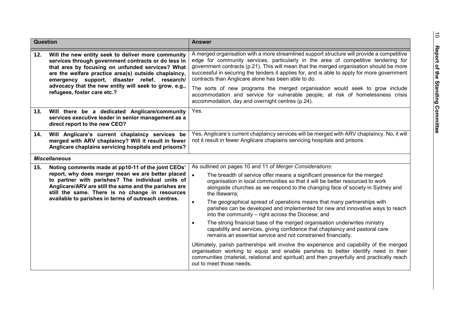| <b>Question</b> |                                                                                                                                                                                                                                                                                                                                                                | <b>Answer</b>                                                                                                                                                                                                                                                                                                                                                                                                                                                                                                                                                                                                                                            |  |  |  |
|-----------------|----------------------------------------------------------------------------------------------------------------------------------------------------------------------------------------------------------------------------------------------------------------------------------------------------------------------------------------------------------------|----------------------------------------------------------------------------------------------------------------------------------------------------------------------------------------------------------------------------------------------------------------------------------------------------------------------------------------------------------------------------------------------------------------------------------------------------------------------------------------------------------------------------------------------------------------------------------------------------------------------------------------------------------|--|--|--|
| 12.             | Will the new entity seek to deliver more community<br>services through government contracts or do less in<br>that area by focusing on unfunded services? What<br>are the welfare practice area(s) outside chaplaincy,<br>emergency support, disaster relief, research/<br>advocacy that the new entity will seek to grow, e.g.,<br>refugees, foster care etc.? | A merged organisation with a more streamlined support structure will provide a competitive<br>edge for community services, particularly in the area of competitive tendering for<br>government contracts (p.21). This will mean that the merged organisation should be more<br>successful in securing the tenders it applies for, and is able to apply for more government<br>contracts than Anglicare alone has been able to do.<br>The sorts of new programs the merged organisation would seek to grow include<br>accommodation and service for vulnerable people, at risk of homelessness crisis<br>accommodation, day and overnight centres (p.24). |  |  |  |
| 13.             | Will there be a dedicated Anglicare/community<br>services executive leader in senior management as a<br>direct report to the new CEO?                                                                                                                                                                                                                          | Yes.                                                                                                                                                                                                                                                                                                                                                                                                                                                                                                                                                                                                                                                     |  |  |  |
| 14.             | Will Anglicare's current chaplaincy services be<br>merged with ARV chaplaincy? Will it result in fewer<br>Anglicare chaplains servicing hospitals and prisons?                                                                                                                                                                                                 | Yes, Anglicare's current chaplaincy services will be merged with ARV chaplaincy. No, it will<br>not it result in fewer Anglicare chaplains servicing hospitals and prisons.                                                                                                                                                                                                                                                                                                                                                                                                                                                                              |  |  |  |
|                 | <b>Miscellaneous</b>                                                                                                                                                                                                                                                                                                                                           |                                                                                                                                                                                                                                                                                                                                                                                                                                                                                                                                                                                                                                                          |  |  |  |
| 15.             | Noting comments made at pp10-11 of the joint CEOs'<br>report, why does merger mean we are better placed<br>to partner with parishes? The individual units of<br>Anglicare/ARV are still the same and the parishes are<br>still the same. There is no change in resources                                                                                       | As outlined on pages 10 and 11 of Merger Considerations:<br>$\bullet$<br>The breadth of service offer means a significant presence for the merged<br>organisation in local communities so that it will be better resourced to work<br>alongside churches as we respond to the changing face of society in Sydney and<br>the Illawarra;                                                                                                                                                                                                                                                                                                                   |  |  |  |
|                 | available to parishes in terms of outreach centres.                                                                                                                                                                                                                                                                                                            | The geographical spread of operations means that many partnerships with<br>$\bullet$<br>parishes can be developed and implemented for new and innovative ways to reach<br>into the community – right across the Diocese; and                                                                                                                                                                                                                                                                                                                                                                                                                             |  |  |  |
|                 |                                                                                                                                                                                                                                                                                                                                                                | The strong financial base of the merged organisation underwrites ministry<br>$\bullet$<br>capability and services, giving confidence that chaplaincy and pastoral care<br>remains an essential service and not constrained financially.                                                                                                                                                                                                                                                                                                                                                                                                                  |  |  |  |
|                 |                                                                                                                                                                                                                                                                                                                                                                | Ultimately, parish partnerships will involve the experience and capability of the merged<br>organisation working to equip and enable parishes to better identify need in their<br>communities (material, relational and spiritual) and then prayerfully and practically reach<br>out to meet those needs.                                                                                                                                                                                                                                                                                                                                                |  |  |  |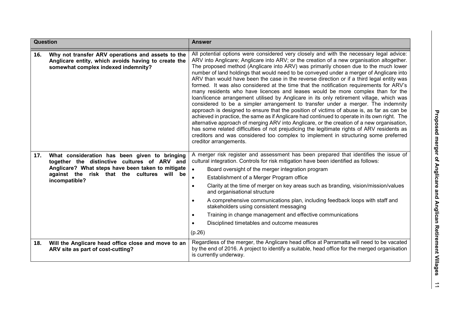| <b>Question</b> |                                                                                                                                                                                                                   | <b>Answer</b>                                                                                                                                                                                                                                                                                                                                                                                                                                                                                                                                                                                                                                                                                                                                                                                                                                                                                                                                                                                                                                                                                                                                                                                                                                                                                                                               |
|-----------------|-------------------------------------------------------------------------------------------------------------------------------------------------------------------------------------------------------------------|---------------------------------------------------------------------------------------------------------------------------------------------------------------------------------------------------------------------------------------------------------------------------------------------------------------------------------------------------------------------------------------------------------------------------------------------------------------------------------------------------------------------------------------------------------------------------------------------------------------------------------------------------------------------------------------------------------------------------------------------------------------------------------------------------------------------------------------------------------------------------------------------------------------------------------------------------------------------------------------------------------------------------------------------------------------------------------------------------------------------------------------------------------------------------------------------------------------------------------------------------------------------------------------------------------------------------------------------|
| 16.             | Why not transfer ARV operations and assets to the<br>Anglicare entity, which avoids having to create the<br>somewhat complex indexed indemnity?                                                                   | All potential options were considered very closely and with the necessary legal advice:<br>ARV into Anglicare; Anglicare into ARV; or the creation of a new organisation altogether.<br>The proposed method (Anglicare into ARV) was primarily chosen due to the much lower<br>number of land holdings that would need to be conveyed under a merger of Anglicare into<br>ARV than would have been the case in the reverse direction or if a third legal entity was<br>formed. It was also considered at the time that the notification requirements for ARV's<br>many residents who have licences and leases would be more complex than for the<br>loan/licence arrangement utilised by Anglicare in its only retirement village, which was<br>considered to be a simpler arrangement to transfer under a merger. The indemnity<br>approach is designed to ensure that the position of victims of abuse is, as far as can be<br>achieved in practice, the same as if Anglicare had continued to operate in its own right. The<br>alternative approach of merging ARV into Anglicare, or the creation of a new organisation,<br>has some related difficulties of not prejudicing the legitimate rights of ARV residents as<br>creditors and was considered too complex to implement in structuring some preferred<br>creditor arrangements. |
| 17.             | What consideration has been given to bringing<br>together the distinctive cultures of ARV and<br>Anglicare? What steps have been taken to mitigate<br>against the risk that the cultures will be<br>incompatible? | A merger risk register and assessment has been prepared that identifies the issue of<br>cultural integration. Controls for risk mitigation have been identified as follows:<br>$\bullet$<br>Board oversight of the merger integration program<br>Establishment of a Merger Program office<br>$\bullet$<br>Clarity at the time of merger on key areas such as branding, vision/mission/values<br>$\bullet$<br>and organisational structure<br>A comprehensive communications plan, including feedback loops with staff and<br>$\bullet$<br>stakeholders using consistent messaging<br>Training in change management and effective communications<br>$\bullet$<br>Disciplined timetables and outcome measures<br>(p.26)                                                                                                                                                                                                                                                                                                                                                                                                                                                                                                                                                                                                                       |
| 18.             | Will the Anglicare head office close and move to an<br>ARV site as part of cost-cutting?                                                                                                                          | Regardless of the merger, the Anglicare head office at Parramatta will need to be vacated<br>by the end of 2016. A project to identify a suitable, head office for the merged organisation<br>is currently underway.                                                                                                                                                                                                                                                                                                                                                                                                                                                                                                                                                                                                                                                                                                                                                                                                                                                                                                                                                                                                                                                                                                                        |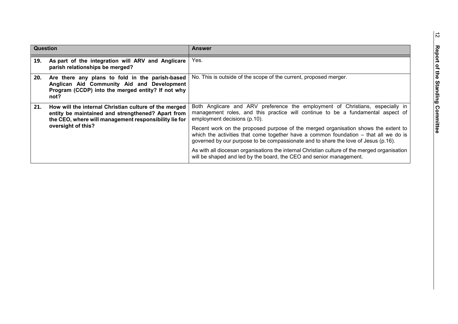| Question |                                                                                                                                                                                           | <b>Answer</b>                                                                                                                                                                                                                                                      |
|----------|-------------------------------------------------------------------------------------------------------------------------------------------------------------------------------------------|--------------------------------------------------------------------------------------------------------------------------------------------------------------------------------------------------------------------------------------------------------------------|
| 19.      | As part of the integration will ARV and Anglicare<br>parish relationships be merged?                                                                                                      | Yes.                                                                                                                                                                                                                                                               |
| 20.      | Are there any plans to fold in the parish-based<br>Anglican Aid Community Aid and Development<br>Program (CCDP) into the merged entity? If not why<br>not?                                | No. This is outside of the scope of the current, proposed merger.                                                                                                                                                                                                  |
| 21.      | How will the internal Christian culture of the merged<br>entity be maintained and strengthened? Apart from<br>the CEO, where will management responsibility lie for<br>oversight of this? | Both Anglicare and ARV preference the employment of Christians, especially in<br>management roles, and this practice will continue to be a fundamental aspect of<br>employment decisions (p.10).                                                                   |
|          |                                                                                                                                                                                           | Recent work on the proposed purpose of the merged organisation shows the extent to<br>which the activities that come together have a common foundation $-$ that all we do is<br>governed by our purpose to be compassionate and to share the love of Jesus (p.16). |
|          |                                                                                                                                                                                           | As with all diocesan organisations the internal Christian culture of the merged organisation<br>will be shaped and led by the board, the CEO and senior management.                                                                                                |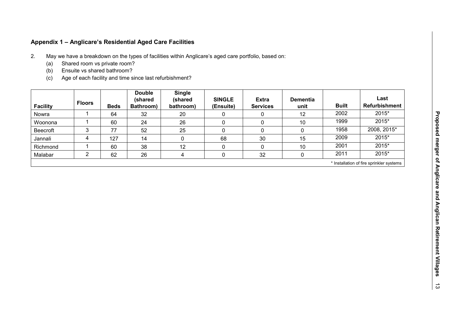## **Appendix 1 – Anglicare's Residential Aged Care Facilities**

- 2. May we have a breakdown on the types of facilities within Anglicare's aged care portfolio, based on:
	- (a) Shared room vs private room?
	- (b) Ensuite vs shared bathroom?
	- (c) Age of each facility and time since last refurbishment?

|                 |                                          |             | <b>Double</b>        | <b>Single</b>        |                            |                                 |                         |              |                              |
|-----------------|------------------------------------------|-------------|----------------------|----------------------|----------------------------|---------------------------------|-------------------------|--------------|------------------------------|
| <b>Facility</b> | <b>Floors</b>                            | <b>Beds</b> | (shared<br>Bathroom) | (shared<br>bathroom) | <b>SINGLE</b><br>(Ensuite) | <b>Extra</b><br><b>Services</b> | <b>Dementia</b><br>unit | <b>Built</b> | Last<br><b>Refurbishment</b> |
| Nowra           |                                          | 64          | 32                   | 20                   | 0                          | 0                               | 12                      | 2002         | 2015*                        |
| Woonona         |                                          | 60          | 24                   | 26                   | 0                          | 0                               | 10                      | 1999         | 2015*                        |
| <b>Beecroft</b> |                                          | 77          | 52                   | 25                   | υ                          | 0                               | 0                       | 1958         | 2008, 2015*                  |
| Jannali         | 4                                        | 127         | 14                   |                      | 68                         | 30                              | 15                      | 2009         | 2015*                        |
| Richmond        |                                          | 60          | 38                   | 12                   | 0                          | 0                               | 10                      | 2001         | 2015*                        |
| Malabar         |                                          | 62          | 26                   | 4                    | 0                          | 32                              | 0                       | 2011         | 2015*                        |
|                 | * Installation of fire sprinkler systems |             |                      |                      |                            |                                 |                         |              |                              |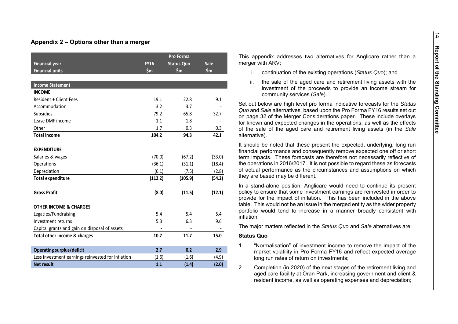#### **Appendix 2 – Options other than a merger**

|                                                   |             | Pro Forma         |             |
|---------------------------------------------------|-------------|-------------------|-------------|
| <b>Financial year</b>                             | <b>FY16</b> | <b>Status Quo</b> | <b>Sale</b> |
| <b>Financial units</b>                            | \$m\$       | \$m               | \$m         |
|                                                   |             |                   |             |
| <b>Income Statement</b>                           |             |                   |             |
| <b>INCOME</b>                                     |             |                   |             |
| <b>Resident + Client Fees</b>                     | 19.1        | 22.8              | 9.1         |
| Accommodation                                     | 3.2         | 3.7               |             |
| <b>Subsidies</b>                                  | 79.2        | 65.8              | 32.7        |
| Lease DMF income                                  | 1.1         | 1.8               |             |
| Other                                             | 1.7         | 0.3               | 0.3         |
| <b>Total income</b>                               | 104.2       | 94.3              | 42.1        |
| <b>EXPENDITURE</b>                                |             |                   |             |
| Salaries & wages                                  | (70.0)      | (67.2)            | (33.0)      |
| Operations                                        | (36.1)      | (31.1)            | (18.4)      |
| Depreciation                                      | (6.1)       | (7.5)             | (2.8)       |
| <b>Total expenditure</b>                          | (112.2)     | (105.9)           | (54.2)      |
| <b>Gross Profit</b>                               | (8.0)       | (11.5)            | (12.1)      |
| <b>OTHER INCOME &amp; CHARGES</b>                 |             |                   |             |
| Legacies/Fundraising                              | 5.4         | 5.4               | 5.4         |
| Investment returns                                | 5.3         | 6.3               | 9.6         |
| Capital grants and gain on disposal of assets     |             |                   |             |
| Total other income & charges                      | 10.7        | 11.7              | 15.0        |
| <b>Operating surplus/deficit</b>                  | 2.7         | 0.2               | 2.9         |
| Less investment earnings reinvested for inflation | (1.6)       | (1.6)             | (4.9)       |
| <b>Net result</b>                                 | 1.1         | (1.4)             | (2.0)       |

This appendix addresses two alternatives for Anglicare rather than a merger with ARV;

- i. continuation of the existing operations (*Status Quo*); and
- ii. the sale of the aged care and retirement living assets with the investment of the proceeds to provide an income stream for community services (*Sale*).

Set out below are high level pro forma indicative forecasts for the *Status Quo* and *Sale* alternatives, based upon the Pro Forma FY16 results set out on page 32 of the Merger Considerations paper. These include overlays for known and expected changes in the operations, as well as the effects of the sale of the aged care and retirement living assets (in the *Sale* alternative).

It should be noted that these present the expected, underlying, long run financial performance and consequently remove expected one off or short term impacts. These forecasts are therefore not necessarily reflective of the operations in 2016/2017. It is not possible to regard these as forecasts of actual performance as the circumstances and assumptions on which they are based may be different.

In a stand-alone position, Anglicare would need to continue its present policy to ensure that some investment earnings are reinvested in order to provide for the impact of inflation. This has been included in the above table. This would not be an issue in the merged entity as the wider property portfolio would tend to increase in a manner broadly consistent with inflation.

The major matters reflected in the *Status Quo* and *Sale* alternatives are:

#### **Status Quo**

- 1. "Normalisation" of investment income to remove the impact of the market volatility in Pro Forma FY16 and reflect expected average long run rates of return on investments;
- 2. Completion (in 2020) of the next stages of the retirement living and aged care facility at Oran Park, increasing government and client & resident income, as well as operating expenses and depreciation;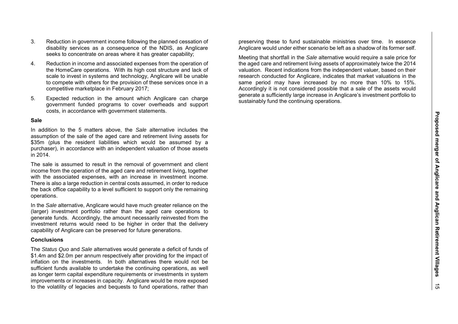- 3. Reduction in government income following the planned cessation of disability services as a consequence of the NDIS, as Anglicare seeks to concentrate on areas where it has greater capability;
- 4. Reduction in income and associated expenses from the operation of the HomeCare operations. With its high cost structure and lack of scale to invest in systems and technology, Anglicare will be unable to compete with others for the provision of these services once in a competitive marketplace in February 2017;
- 5. Expected reduction in the amount which Anglicare can charge government funded programs to cover overheads and support costs, in accordance with government statements.

#### **Sale**

In addition to the 5 matters above, the *Sale* alternative includes the assumption of the sale of the aged care and retirement living assets for \$35m (plus the resident liabilities which would be assumed by a purchaser), in accordance with an independent valuation of those assets in 2014.

The sale is assumed to result in the removal of government and client income from the operation of the aged care and retirement living, together with the associated expenses, with an increase in investment income. There is also a large reduction in central costs assumed, in order to reduce the back office capability to a level sufficient to support only the remaining operations.

In the *Sale* alternative, Anglicare would have much greater reliance on the (larger) investment portfolio rather than the aged care operations to generate funds. Accordingly, the amount necessarily reinvested from the investment returns would need to be higher in order that the delivery capability of Anglicare can be preserved for future generations.

#### **Conclusions**

The *Status Quo* and *Sale* alternatives would generate a deficit of funds of \$1.4m and \$2.0m per annum respectively after providing for the impact of inflation on the investments. In both alternatives there would not be sufficient funds available to undertake the continuing operations, as well as longer term capital expenditure requirements or investments in system improvements or increases in capacity. Anglicare would be more exposed to the volatility of legacies and bequests to fund operations, rather than

preserving these to fund sustainable ministries over time. In essence Anglicare would under either scenario be left as a shadow of its former self.

Meeting that shortfall in the *Sale* alternative would require a sale price for the aged care and retirement living assets of approximately twice the 2014 valuation. Recent indications from the independent valuer, based on their research conducted for Anglicare, indicates that market valuations in the same period may have increased by no more than 10% to 15%. Accordingly it is not considered possible that a sale of the assets would generate a sufficiently large increase in Anglicare's investment portfolio to sustainably fund the continuing operations.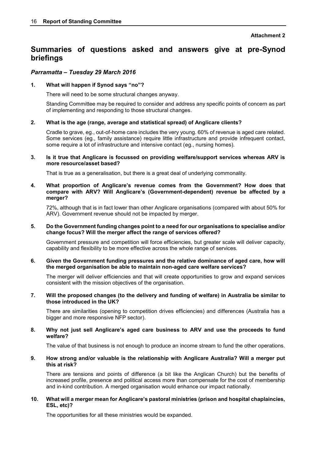## **Summaries of questions asked and answers give at pre-Synod briefings**

#### *Parramatta – Tuesday 29 March 2016*

#### **1. What will happen if Synod says "no"?**

There will need to be some structural changes anyway.

Standing Committee may be required to consider and address any specific points of concern as part of implementing and responding to those structural changes.

#### **2. What is the age (range, average and statistical spread) of Anglicare clients?**

Cradle to grave, eg., out-of-home care includes the very young. 60% of revenue is aged care related. Some services (eg., family assistance) require little infrastructure and provide infrequent contact, some require a lot of infrastructure and intensive contact (eg., nursing homes).

#### **3. Is it true that Anglicare is focussed on providing welfare/support services whereas ARV is more resource/asset based?**

That is true as a generalisation, but there is a great deal of underlying commonality.

**4. What proportion of Anglicare's revenue comes from the Government? How does that compare with ARV? Will Anglicare's (Government-dependent) revenue be affected by a merger?** 

72%, although that is in fact lower than other Anglicare organisations (compared with about 50% for ARV). Government revenue should not be impacted by merger.

#### **5. Do the Government funding changes point to a need for our organisations to specialise and/or change focus? Will the merger affect the range of services offered?**

Government pressure and competition will force efficiencies, but greater scale will deliver capacity, capability and flexibility to be more effective across the whole range of services.

#### **6. Given the Government funding pressures and the relative dominance of aged care, how will the merged organisation be able to maintain non-aged care welfare services?**

The merger will deliver efficiencies and that will create opportunities to grow and expand services consistent with the mission objectives of the organisation.

#### **7. Will the proposed changes (to the delivery and funding of welfare) in Australia be similar to those introduced in the UK?**

There are similarities (opening to competition drives efficiencies) and differences (Australia has a bigger and more responsive NFP sector).

#### **8. Why not just sell Anglicare's aged care business to ARV and use the proceeds to fund welfare?**

The value of that business is not enough to produce an income stream to fund the other operations.

#### **9. How strong and/or valuable is the relationship with Anglicare Australia? Will a merger put this at risk?**

There are tensions and points of difference (a bit like the Anglican Church) but the benefits of increased profile, presence and political access more than compensate for the cost of membership and in-kind contribution. A merged organisation would enhance our impact nationally.

#### **10. What will a merger mean for Anglicare's pastoral ministries (prison and hospital chaplaincies, ESL, etc)?**

The opportunities for all these ministries would be expanded.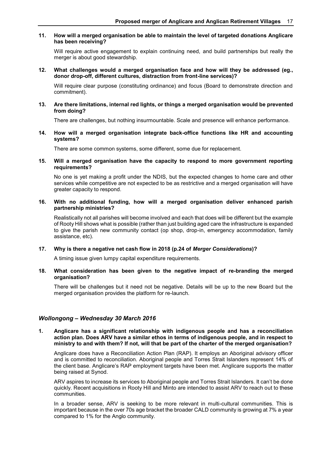#### **11. How will a merged organisation be able to maintain the level of targeted donations Anglicare has been receiving?**

Will require active engagement to explain continuing need, and build partnerships but really the merger is about good stewardship.

**12. What challenges would a merged organisation face and how will they be addressed (eg., donor drop-off, different cultures, distraction from front-line services)?** 

Will require clear purpose (constituting ordinance) and focus (Board to demonstrate direction and commitment).

**13. Are there limitations, internal red lights, or things a merged organisation would be prevented from doing?** 

There are challenges, but nothing insurmountable. Scale and presence will enhance performance.

**14. How will a merged organisation integrate back-office functions like HR and accounting systems?** 

There are some common systems, some different, some due for replacement.

#### **15. Will a merged organisation have the capacity to respond to more government reporting requirements?**

No one is yet making a profit under the NDIS, but the expected changes to home care and other services while competitive are not expected to be as restrictive and a merged organisation will have greater capacity to respond.

#### **16. With no additional funding, how will a merged organisation deliver enhanced parish partnership ministries?**

Realistically not all parishes will become involved and each that does will be different but the example of Rooty Hill shows what is possible (rather than just building aged care the infrastructure is expanded to give the parish new community contact (op shop, drop-in, emergency accommodation, family assistance, etc).

#### **17. Why is there a negative net cash flow in 2018 (p.24 of** *Merger Considerations***)?**

A timing issue given lumpy capital expenditure requirements.

#### **18. What consideration has been given to the negative impact of re-branding the merged organisation?**

There will be challenges but it need not be negative. Details will be up to the new Board but the merged organisation provides the platform for re-launch.

#### *Wollongong – Wednesday 30 March 2016*

**1. Anglicare has a significant relationship with indigenous people and has a reconciliation action plan. Does ARV have a similar ethos in terms of indigenous people, and in respect to ministry to and with them? If not, will that be part of the charter of the merged organisation?** 

Anglicare does have a Reconciliation Action Plan (RAP). It employs an Aboriginal advisory officer and is committed to reconciliation. Aboriginal people and Torres Strait Islanders represent 14% of the client base. Anglicare's RAP employment targets have been met. Anglicare supports the matter being raised at Synod.

ARV aspires to increase its services to Aboriginal people and Torres Strait Islanders. It can't be done quickly. Recent acquisitions in Rooty Hill and Minto are intended to assist ARV to reach out to these communities.

In a broader sense, ARV is seeking to be more relevant in multi-cultural communities. This is important because in the over 70s age bracket the broader CALD community is growing at 7% a year compared to 1% for the Anglo community.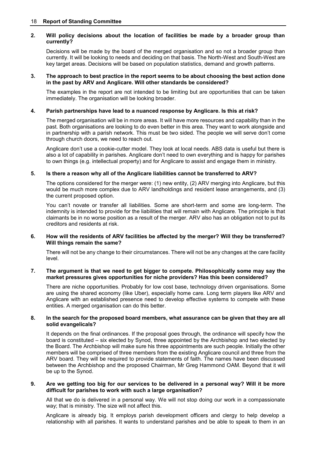#### 18 **Report of Standing Committee**

#### **2. Will policy decisions about the location of facilities be made by a broader group than currently?**

Decisions will be made by the board of the merged organisation and so not a broader group than currently. It will be looking to needs and deciding on that basis. The North-West and South-West are key target areas. Decisions will be based on population statistics, demand and growth patterns.

#### **3. The approach to best practice in the report seems to be about choosing the best action done in the past by ARV and Anglicare. Will other standards be considered?**

The examples in the report are not intended to be limiting but are opportunities that can be taken immediately. The organisation will be looking broader.

#### **4. Parish partnerships have lead to a nuanced response by Anglicare. Is this at risk?**

The merged organisation will be in more areas. It will have more resources and capability than in the past. Both organisations are looking to do even better in this area. They want to work alongside and in partnership with a parish network. This must be two sided. The people we will serve don't come through church doors, we need to reach out.

Anglicare don't use a cookie-cutter model. They look at local needs. ABS data is useful but there is also a lot of capability in parishes. Anglicare don't need to own everything and is happy for parishes to own things (e.g. intellectual property) and for Anglicare to assist and engage them in ministry.

#### **5. Is there a reason why all of the Anglicare liabilities cannot be transferred to ARV?**

The options considered for the merger were: (1) new entity, (2) ARV merging into Anglicare, but this would be much more complex due to ARV landholdings and resident lease arrangements, and (3) the current proposed option.

You can't novate or transfer all liabilities. Some are short-term and some are long-term. The indemnity is intended to provide for the liabilities that will remain with Anglicare. The principle is that claimants be in no worse position as a result of the merger. ARV also has an obligation not to put its creditors and residents at risk.

#### **6. How will the residents of ARV facilities be affected by the merger? Will they be transferred? Will things remain the same?**

There will not be any change to their circumstances. There will not be any changes at the care facility level.

#### **7. The argument is that we need to get bigger to compete. Philosophically some may say the market pressures gives opportunities for niche providers? Has this been considered?**

There are niche opportunities. Probably for low cost base, technology driven organisations. Some are using the shared economy (like Uber), especially home care. Long term players like ARV and Anglicare with an established presence need to develop effective systems to compete with these entities. A merged organisation can do this better.

#### **8. In the search for the proposed board members, what assurance can be given that they are all solid evangelicals?**

It depends on the final ordinances. If the proposal goes through, the ordinance will specify how the board is constituted – six elected by Synod, three appointed by the Archbishop and two elected by the Board. The Archbishop will make sure his three appointments are such people. Initially the other members will be comprised of three members from the existing Anglicare council and three from the ARV board. They will be required to provide statements of faith. The names have been discussed between the Archbishop and the proposed Chairman, Mr Greg Hammond OAM. Beyond that it will be up to the Synod.

#### **9. Are we getting too big for our services to be delivered in a personal way? Will it be more difficult for parishes to work with such a large organisation?**

All that we do is delivered in a personal way. We will not stop doing our work in a compassionate way; that is ministry. The size will not affect this.

Anglicare is already big. It employs parish development officers and clergy to help develop a relationship with all parishes. It wants to understand parishes and be able to speak to them in an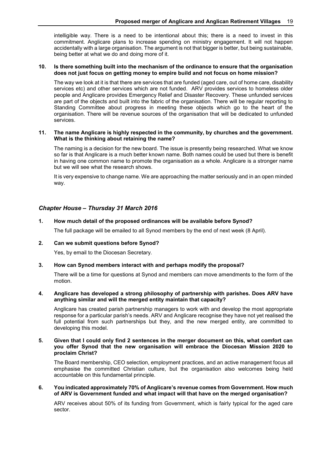intelligible way. There is a need to be intentional about this; there is a need to invest in this commitment. Anglicare plans to increase spending on ministry engagement. It will not happen accidentally with a large organisation. The argument is not that bigger is better, but being sustainable, being better at what we do and doing more of it.

#### **10. Is there something built into the mechanism of the ordinance to ensure that the organisation does not just focus on getting money to empire build and not focus on home mission?**

The way we look at it is that there are services that are funded (aged care, out of home care, disability services etc) and other services which are not funded. ARV provides services to homeless older people and Anglicare provides Emergency Relief and Disaster Recovery. These unfunded services are part of the objects and built into the fabric of the organisation. There will be regular reporting to Standing Committee about progress in meeting these objects which go to the heart of the organisation. There will be revenue sources of the organisation that will be dedicated to unfunded services.

#### **11. The name Anglicare is highly respected in the community, by churches and the government. What is the thinking about retaining the name?**

The naming is a decision for the new board. The issue is presently being researched. What we know so far is that Anglicare is a much better known name. Both names could be used but there is benefit in having one common name to promote the organisation as a whole. Anglicare is a stronger name but we will see what the research shows.

It is very expensive to change name. We are approaching the matter seriously and in an open minded way.

#### *Chapter House – Thursday 31 March 2016*

#### **1. How much detail of the proposed ordinances will be available before Synod?**

The full package will be emailed to all Synod members by the end of next week (8 April).

#### **2. Can we submit questions before Synod?**

Yes, by email to the Diocesan Secretary.

#### **3. How can Synod members interact with and perhaps modify the proposal?**

There will be a time for questions at Synod and members can move amendments to the form of the motion.

#### **4. Anglicare has developed a strong philosophy of partnership with parishes. Does ARV have anything similar and will the merged entity maintain that capacity?**

Anglicare has created parish partnership managers to work with and develop the most appropriate response for a particular parish's needs. ARV and Anglicare recognise they have not yet realised the full potential from such partnerships but they, and the new merged entity, are committed to developing this model.

#### **5. Given that I could only find 2 sentences in the merger document on this, what comfort can you offer Synod that the new organisation will embrace the Diocesan Mission 2020 to proclaim Christ?**

The Board membership, CEO selection, employment practices, and an active management focus all emphasise the committed Christian culture, but the organisation also welcomes being held accountable on this fundamental principle.

#### **6. You indicated approximately 70% of Anglicare's revenue comes from Government. How much of ARV is Government funded and what impact will that have on the merged organisation?**

ARV receives about 50% of its funding from Government, which is fairly typical for the aged care sector.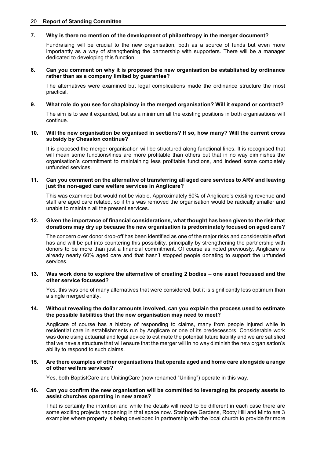#### 20 **Report of Standing Committee**

#### **7. Why is there no mention of the development of philanthropy in the merger document?**

Fundraising will be crucial to the new organisation, both as a source of funds but even more importantly as a way of strengthening the partnership with supporters. There will be a manager dedicated to developing this function.

#### **8. Can you comment on why it is proposed the new organisation be established by ordinance rather than as a company limited by guarantee?**

The alternatives were examined but legal complications made the ordinance structure the most practical.

#### **9. What role do you see for chaplaincy in the merged organisation? Will it expand or contract?**

The aim is to see it expanded, but as a minimum all the existing positions in both organisations will continue.

#### **10. Will the new organisation be organised in sections? If so, how many? Will the current cross subsidy by Chesalon continue?**

It is proposed the merger organisation will be structured along functional lines. It is recognised that will mean some functions/lines are more profitable than others but that in no way diminishes the organisation's commitment to maintaining less profitable functions, and indeed some completely unfunded services.

#### **11. Can you comment on the alternative of transferring all aged care services to ARV and leaving just the non-aged care welfare services in Anglicare?**

This was examined but would not be viable. Approximately 60% of Anglicare's existing revenue and staff are aged care related, so if this was removed the organisation would be radically smaller and unable to maintain all the present services.

#### **12. Given the importance of financial considerations, what thought has been given to the risk that donations may dry up because the new organisation is predominately focused on aged care?**

The concern over donor drop-off has been identified as one of the major risks and considerable effort has and will be put into countering this possibility, principally by strengthening the partnership with donors to be more than just a financial commitment. Of course as noted previously, Anglicare is already nearly 60% aged care and that hasn't stopped people donating to support the unfunded services.

#### **13. Was work done to explore the alternative of creating 2 bodies – one asset focussed and the other service focussed?**

Yes, this was one of many alternatives that were considered, but it is significantly less optimum than a single merged entity.

#### **14. Without revealing the dollar amounts involved, can you explain the process used to estimate the possible liabilities that the new organisation may need to meet?**

Anglicare of course has a history of responding to claims, many from people injured while in residential care in establishments run by Anglicare or one of its predecessors. Considerable work was done using actuarial and legal advice to estimate the potential future liability and we are satisfied that we have a structure that will ensure that the merger will in no way diminish the new organisation's ability to respond to such claims.

#### **15. Are there examples of other organisations that operate aged and home care alongside a range of other welfare services?**

Yes, both BaptistCare and UnitingCare (now renamed "Uniting") operate in this way.

#### **16. Can you confirm the new organisation will be committed to leveraging its property assets to assist churches operating in new areas?**

That is certainly the intention and while the details will need to be different in each case there are some exciting projects happening in that space now. Stanhope Gardens, Rooty Hill and Minto are 3 examples where property is being developed in partnership with the local church to provide far more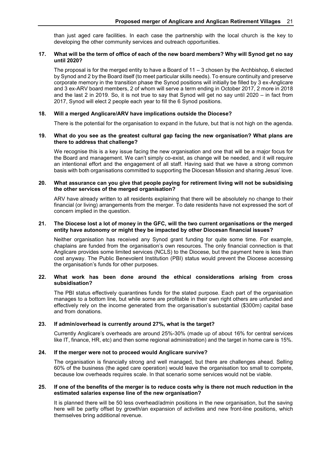than just aged care facilities. In each case the partnership with the local church is the key to developing the other community services and outreach opportunities.

#### **17. What will be the term of office of each of the new board members? Why will Synod get no say until 2020?**

The proposal is for the merged entity to have a Board of 11 – 3 chosen by the Archbishop, 6 elected by Synod and 2 by the Board itself (to meet particular skills needs). To ensure continuity and preserve corporate memory in the transition phase the Synod positions will initially be filled by 3 ex-Anglicare and 3 ex-ARV board members, 2 of whom will serve a term ending in October 2017, 2 more in 2018 and the last 2 in 2019. So, it is not true to say that Synod will get no say until 2020 – in fact from 2017, Synod will elect 2 people each year to fill the 6 Synod positions.

#### **18. Will a merged Anglicare/ARV have implications outside the Diocese?**

There is the potential for the organisation to expand in the future, but that is not high on the agenda.

#### **19. What do you see as the greatest cultural gap facing the new organisation? What plans are there to address that challenge?**

We recognise this is a key issue facing the new organisation and one that will be a major focus for the Board and management. We can't simply co-exist, as change will be needed, and it will require an intentional effort and the engagement of all staff. Having said that we have a strong common basis with both organisations committed to supporting the Diocesan Mission and sharing Jesus' love.

#### **20. What assurance can you give that people paying for retirement living will not be subsidising the other services of the merged organisation?**

ARV have already written to all residents explaining that there will be absolutely no change to their financial (or living) arrangements from the merger. To date residents have not expressed the sort of concern implied in the question.

#### **21. The Diocese lost a lot of money in the GFC, will the two current organisations or the merged entity have autonomy or might they be impacted by other Diocesan financial issues?**

Neither organisation has received any Synod grant funding for quite some time. For example, chaplains are funded from the organisation's own resources. The only financial connection is that Anglicare provides some limited services (NCLS) to the Diocese, but the payment here is less than cost anyway. The Public Benevolent Institution (PBI) status would prevent the Diocese accessing the organisation's funds for other purposes.

#### **22. What work has been done around the ethical considerations arising from cross subsidisation?**

The PBI status effectively quarantines funds for the stated purpose. Each part of the organisation manages to a bottom line, but while some are profitable in their own right others are unfunded and effectively rely on the income generated from the organisation's substantial (\$300m) capital base and from donations.

#### **23. If admin/overhead is currently around 27%, what is the target?**

Currently Anglicare's overheads are around 25%-30% (made up of about 16% for central services like IT, finance, HR, etc) and then some regional administration) and the target in home care is 15%.

#### **24. If the merger were not to proceed would Anglicare survive?**

The organisation is financially strong and well managed, but there are challenges ahead. Selling 60% of the business (the aged care operation) would leave the organisation too small to compete, because low overheads requires scale. In that scenario some services would not be viable.

#### **25. If one of the benefits of the merger is to reduce costs why is there not much reduction in the estimated salaries expense line of the new organisation?**

It is planned there will be 50 less overhead/admin positions in the new organisation, but the saving here will be partly offset by growth/an expansion of activities and new front-line positions, which themselves bring additional revenue.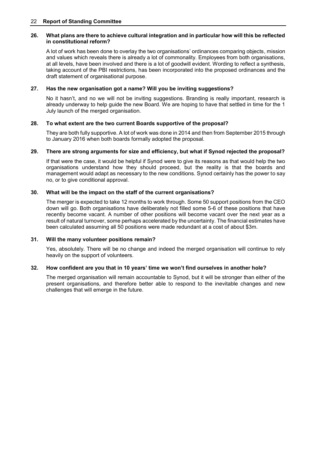#### **26. What plans are there to achieve cultural integration and in particular how will this be reflected in constitutional reform?**

A lot of work has been done to overlay the two organisations' ordinances comparing objects, mission and values which reveals there is already a lot of commonality. Employees from both organisations, at all levels, have been involved and there is a lot of goodwill evident. Wording to reflect a synthesis, taking account of the PBI restrictions, has been incorporated into the proposed ordinances and the draft statement of organisational purpose.

#### **27. Has the new organisation got a name? Will you be inviting suggestions?**

No it hasn't, and no we will not be inviting suggestions. Branding is really important, research is already underway to help guide the new Board. We are hoping to have that settled in time for the 1 July launch of the merged organisation.

#### **28. To what extent are the two current Boards supportive of the proposal?**

They are both fully supportive. A lot of work was done in 2014 and then from September 2015 through to January 2016 when both boards formally adopted the proposal.

#### **29. There are strong arguments for size and efficiency, but what if Synod rejected the proposal?**

If that were the case, it would be helpful if Synod were to give its reasons as that would help the two organisations understand how they should proceed, but the reality is that the boards and management would adapt as necessary to the new conditions. Synod certainly has the power to say no, or to give conditional approval.

#### **30. What will be the impact on the staff of the current organisations?**

The merger is expected to take 12 months to work through. Some 50 support positions from the CEO down will go. Both organisations have deliberately not filled some 5-6 of these positions that have recently become vacant. A number of other positions will become vacant over the next year as a result of natural turnover, some perhaps accelerated by the uncertainty. The financial estimates have been calculated assuming all 50 positions were made redundant at a cost of about \$3m.

#### **31. Will the many volunteer positions remain?**

Yes, absolutely. There will be no change and indeed the merged organisation will continue to rely heavily on the support of volunteers.

#### **32. How confident are you that in 10 years' time we won't find ourselves in another hole?**

The merged organisation will remain accountable to Synod, but it will be stronger than either of the present organisations, and therefore better able to respond to the inevitable changes and new challenges that will emerge in the future.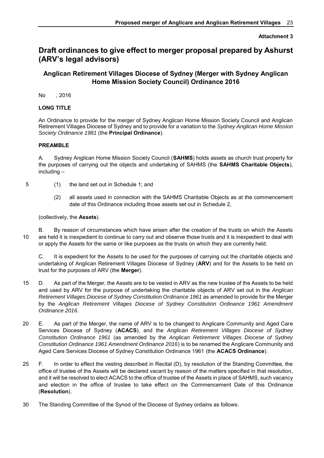#### **Attachment 3**

## **Draft ordinances to give effect to merger proposal prepared by Ashurst (ARV's legal advisors)**

### **Anglican Retirement Villages Diocese of Sydney (Merger with Sydney Anglican Home Mission Society Council) Ordinance 2016**

No , 2016

#### **LONG TITLE**

An Ordinance to provide for the merger of Sydney Anglican Home Mission Society Council and Anglican Retirement Villages Diocese of Sydney and to provide for a variation to the *Sydney Anglican Home Mission Society Ordinance 1981* (the **Principal Ordinance**).

#### **PREAMBLE**

A. Sydney Anglican Home Mission Society Council (**SAHMS**) holds assets as church trust property for the purposes of carrying out the objects and undertaking of SAHMS (the **SAHMS Charitable Objects**), including –

- 5 (1) the land set out in [Schedule 1;](#page-28-0) and
	- (2) all assets used in connection with the SAHMS Charitable Objects as at the commencement date of this Ordinance including those assets set out in [Schedule 2,](#page-29-0)

(collectively, the **Assets**).

B. By reason of circumstances which have arisen after the creation of the trusts on which the Assets 10 are held it is inexpedient to continue to carry out and observe those trusts and it is inexpedient to deal with or apply the Assets for the same or like purposes as the trusts on which they are currently held.

C. It is expedient for the Assets to be used for the purposes of carrying out the charitable objects and undertaking of Anglican Retirement Villages Diocese of Sydney (**ARV**) and for the Assets to be held on trust for the purposes of ARV (the **Merger**).

- 15 D. As part of the Merger, the Assets are to be vested in ARV as the new trustee of the Assets to be held and used by ARV for the purpose of undertaking the charitable objects of ARV set out in the *Anglican Retirement Villages Diocese of Sydney Constitution Ordinance 1961* as amended to provide for the Merger by the *Anglican Retirement Villages Diocese of Sydney Constitution Ordinance 1961 Amendment Ordinance 2016*.
- 20 E. As part of the Merger, the name of ARV is to be changed to Anglicare Community and Aged Care Services Diocese of Sydney (**ACACS**), and the *Anglican Retirement Villages Diocese of Sydney Constitution Ordinance 1961* (as amended by the *Anglican Retirement Villages Diocese of Sydney Constitution Ordinance 1961 Amendment Ordinance 2016*) is to be renamed the Anglicare Community and Aged Care Services Diocese of Sydney Constitution Ordinance 1961 (the **ACACS Ordinance**).
- 25 F. In order to effect the vesting described in Recital (D), by resolution of the Standing Committee, the office of trustee of the Assets will be declared vacant by reason of the matters specified in that resolution, and it will be resolved to elect ACACS to the office of trustee of the Assets in place of SAHMS, such vacancy and election in the office of trustee to take effect on the Commencement Date of this Ordinance (**Resolution**).
- 30 The Standing Committee of the Synod of the Diocese of Sydney ordains as follows.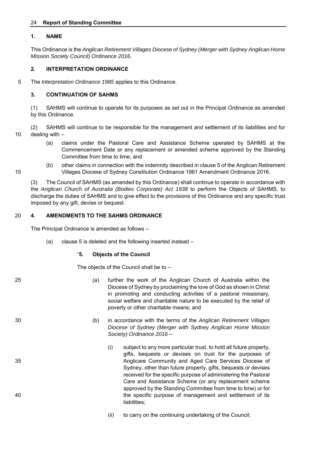#### 24 **Report of Standing Committee**

#### **1. NAME**

This Ordinance is the *Anglican Retirement Villages Diocese of Sydney (Merger with Sydney Anglican Home Mission Society Council) Ordinance 2016*.

#### **2. INTERPRETATION ORDINANCE**

5 The *Interpretation Ordinance 1985* applies to this Ordinance.

#### **3. CONTINUATION OF SAHMS**

(1) SAHMS will continue to operate for its purposes as set out in the Principal Ordinance as amended by this Ordinance.

(2) SAHMS will continue to be responsible for the management and settlement of its liabilities and for 10 dealing with –

- (a) claims under the Pastoral Care and Assistance Scheme operated by SAHMS at the Commencement Date or any replacement or amended scheme approved by the Standing Committee from time to time, and
- (b) other claims in connection with the indemnity described in clause 5 of the Anglican Retirement 15 Villages Diocese of Sydney Constitution Ordinance 1961 Amendment Ordinance 2016.

(3) The Council of SAHMS (as amended by this Ordinance) shall continue to operate in accordance with the *Anglican Church of Australia (Bodies Corporate) Act 1938* to perform the Objects of SAHMS, to discharge the duties of SAHMS and to give effect to the provisions of this Ordinance and any specific trust imposed by any gift, devise or bequest.

#### 20 **4. AMENDMENTS TO THE SAHMS ORDINANCE**

The Principal Ordinance is amended as follows –

(a) clause 5 is deleted and the following inserted instead –

#### "**5. Objects of the Council**

The objects of the Council shall be to –

- 25 (a) further the work of the Anglican Church of Australia within the Diocese of Sydney by proclaiming the love of God as shown in Christ in promoting and conducting activities of a pastoral missionary, social welfare and charitable nature to be executed by the relief of poverty or other charitable means; and
- 30 (b) in accordance with the terms of the *Anglican Retirement Villages Diocese of Sydney (Merger with Sydney Anglican Home Mission Society) Ordinance 2016* –
- (i) subject to any more particular trust, to hold all future property, gifts, bequests or devises on trust for the purposes of 35 Anglicare Community and Aged Care Services Diocese of Sydney, other than future property, gifts, bequests or devises received for the specific purpose of administering the Pastoral Care and Assistance Scheme (or any replacement scheme approved by the Standing Committee from time to time) or for 40 the specific purpose of management and settlement of its liabilities;
	- (ii) to carry on the continuing undertaking of the Council;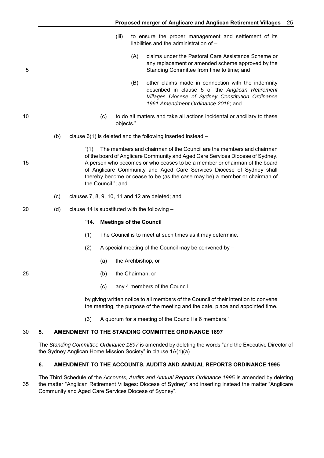- (iii) to ensure the proper management and settlement of its liabilities and the administration of –
- (A) claims under the Pastoral Care Assistance Scheme or any replacement or amended scheme approved by the 5 Standing Committee from time to time; and
	- (B) other claims made in connection with the indemnity described in clause 5 of the *Anglican Retirement Villages Diocese of Sydney Constitution Ordinance 1961 Amendment Ordinance 2016*; and
- 10 (c) to do all matters and take all actions incidental or ancillary to these objects."
	- (b) clause 6(1) is deleted and the following inserted instead –

"(1) The members and chairman of the Council are the members and chairman of the board of Anglicare Community and Aged Care Services Diocese of Sydney. 15 A person who becomes or who ceases to be a member or chairman of the board of Anglicare Community and Aged Care Services Diocese of Sydney shall thereby become or cease to be (as the case may be) a member or chairman of the Council."; and

- (c) clauses 7, 8, 9, 10, 11 and 12 are deleted; and
- 20 (d) clause 14 is substituted with the following –

#### "**14. Meetings of the Council**

- (1) The Council is to meet at such times as it may determine.
- (2) A special meeting of the Council may be convened by
	- (a) the Archbishop, or
- 25 (b) the Chairman, or
	- (c) any 4 members of the Council

by giving written notice to all members of the Council of their intention to convene the meeting, the purpose of the meeting and the date, place and appointed time.

(3) A quorum for a meeting of the Council is 6 members."

#### 30 **5. AMENDMENT TO THE STANDING COMMITTEE ORDINANCE 1897**

The *Standing Committee Ordinance 1897* is amended by deleting the words "and the Executive Director of the Sydney Anglican Home Mission Society" in clause 1A(1)(a).

#### **6. AMENDMENT TO THE ACCOUNTS, AUDITS AND ANNUAL REPORTS ORDINANCE 1995**

The Third Schedule of the *Accounts, Audits and Annual Reports Ordinance 1995* is amended by deleting 35 the matter "Anglican Retirement Villages: Diocese of Sydney" and inserting instead the matter "Anglicare Community and Aged Care Services Diocese of Sydney".

- 
- 
-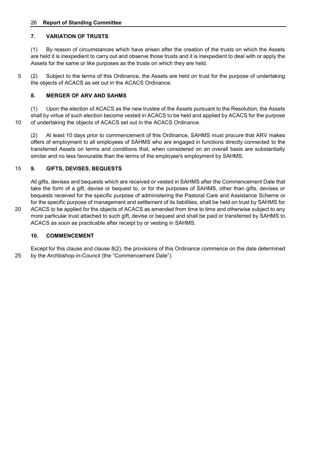#### 26 **Report of Standing Committee**

#### **7. VARIATION OF TRUSTS**

(1) By reason of circumstances which have arisen after the creation of the trusts on which the Assets are held it is inexpedient to carry out and observe those trusts and it is inexpedient to deal with or apply the Assets for the same or like purposes as the trusts on which they are held.

5 (2) Subject to the terms of this Ordinance, the Assets are held on trust for the purpose of undertaking the objects of ACACS as set out in the ACACS Ordinance.

#### **8. MERGER OF ARV AND SAHMS**

(1) Upon the election of ACACS as the new trustee of the Assets pursuant to the Resolution, the Assets shall by virtue of such election become vested in ACACS to be held and applied by ACACS for the purpose 10 of undertaking the objects of ACACS set out in the ACACS Ordinance.

(2) At least 10 days prior to commencement of this Ordinance, SAHMS must procure that ARV makes offers of employment to all employees of SAHMS who are engaged in functions directly connected to the transferred Assets on terms and conditions that, when considered on an overall basis are substantially similar and no less favourable than the terms of the employee's employment by SAHMS.

#### 15 **9. GIFTS, DEVISES, BEQUESTS**

All gifts, devises and bequests which are received or vested in SAHMS after the Commencement Date that take the form of a gift, devise or bequest to, or for the purposes of SAHMS, other than gifts, devises or bequests received for the specific purpose of administering the Pastoral Care and Assistance Scheme or for the specific purpose of management and settlement of its liabilities, shall be held on trust by SAHMS for

20 ACACS to be applied for the objects of ACACS as amended from time to time and otherwise subject to any more particular trust attached to such gift, devise or bequest and shall be paid or transferred by SAHMS to ACACS as soon as practicable after receipt by or vesting in SAHMS.

#### **10. COMMENCEMENT**

Except for this clause and clause 8(2), the provisions of this Ordinance commence on the date determined 25 by the Archbishop-in-Council (the "Commencement Date").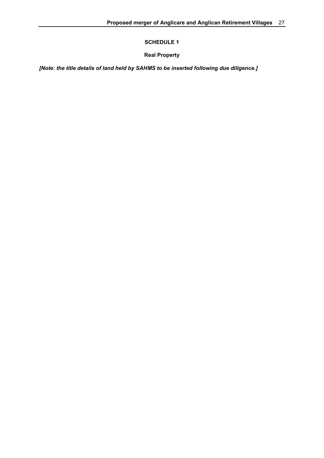**SCHEDULE 1** 

**Real Property** 

<span id="page-28-0"></span>*[Note: the title details of land held by SAHMS to be inserted following due diligence.]*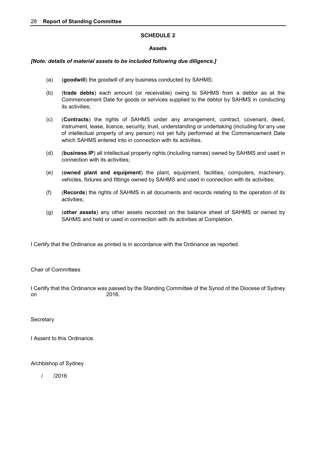#### **SCHEDULE 2**

#### **Assets**

#### <span id="page-29-0"></span>*[Note: details of material assets to be included following due diligence.]*

- (a) (**goodwill**) the goodwill of any business conducted by SAHMS;
- (b) (**trade debts**) each amount (or receivable) owing to SAHMS from a debtor as at the Commencement Date for goods or services supplied to the debtor by SAHMS in conducting its activities;
- (c) (**Contracts**) the rights of SAHMS under any arrangement, contract, covenant, deed, instrument, lease, licence, security, trust, understanding or undertaking (including for any use of intellectual property of any person) not yet fully performed at the Commencement Date which SAHMS entered into in connection with its activities.
- (d) (**business IP**) all intellectual property rights (including names) owned by SAHMS and used in connection with its activities;
- (e) (**owned plant and equipment**) the plant, equipment, facilities, computers, machinery, vehicles, fixtures and fittings owned by SAHMS and used in connection with its activities;
- (f) (**Records**) the rights of SAHMS in all documents and records relating to the operation of its activities;
- (g) (**other assets**) any other assets recorded on the balance sheet of SAHMS or owned by SAHMS and held or used in connection with its activities at Completion.

I Certify that the Ordinance as printed is in accordance with the Ordinance as reported.

Chair of Committees

I Certify that this Ordinance was passed by the Standing Committee of the Synod of the Diocese of Sydney on 2016.

#### **Secretary**

I Assent to this Ordinance.

#### Archbishop of Sydney

/ /2016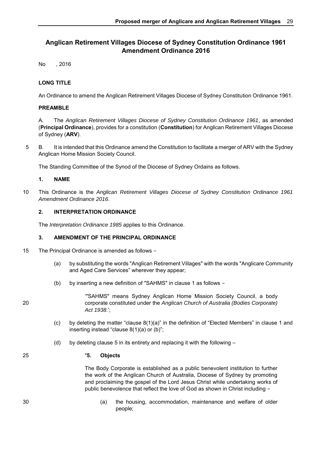## **Anglican Retirement Villages Diocese of Sydney Constitution Ordinance 1961 Amendment Ordinance 2016**

No , 2016

#### **LONG TITLE**

An Ordinance to amend the Anglican Retirement Villages Diocese of Sydney Constitution Ordinance 1961.

#### **PREAMBLE**

A. The *Anglican Retirement Villages Diocese of Sydney Constitution Ordinance 1961*, as amended (**Principal Ordinance**), provides for a constitution (**Constitution**) for Anglican Retirement Villages Diocese of Sydney (**ARV**).

5 B. It is intended that this Ordinance amend the Constitution to facilitate a merger of ARV with the Sydney Anglican Home Mission Society Council.

The Standing Committee of the Synod of the Diocese of Sydney Ordains as follows.

#### **1. NAME**

10 This Ordinance is the *Anglican Retirement Villages Diocese of Sydney Constitution Ordinance 1961 Amendment Ordinance 2016*.

#### **2. INTERPRETATION ORDINANCE**

The *Interpretation Ordinance 1985* applies to this Ordinance.

#### **3. AMENDMENT OF THE PRINCIPAL ORDINANCE**

- 15 The Principal Ordinance is amended as follows
	- (a) by substituting the words "Anglican Retirement Villages" with the words "Anglicare Community and Aged Care Services" wherever they appear;
	- (b) by inserting a new definition of "SAHMS" in clause 1 as follows –

'"SAHMS" means Sydney Anglican Home Mission Society Council, a body 20 corporate constituted under the *Anglican Church of Australia (Bodies Corporate) Act 1938*.';

- (c) by deleting the matter "clause  $8(1)(a)$ " in the definition of "Elected Members" in clause 1 and inserting instead "clause 8(1)(a) or (b)";
- (d) by deleting clause 5 in its entirety and replacing it with the following  $-$

#### 25 "**5. Objects**

The Body Corporate is established as a public benevolent institution to further the work of the Anglican Church of Australia, Diocese of Sydney by promoting and proclaiming the gospel of the Lord Jesus Christ while undertaking works of public benevolence that reflect the love of God as shown in Christ including –

30 (a) the housing, accommodation, maintenance and welfare of older people;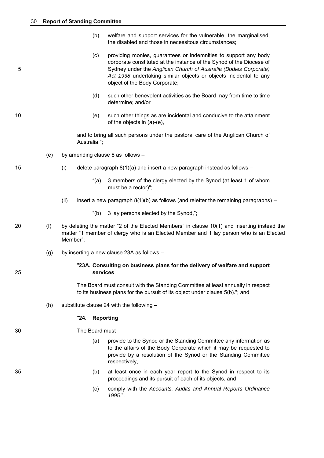- (b) welfare and support services for the vulnerable, the marginalised, the disabled and those in necessitous circumstances;
- (c) providing monies, guarantees or indemnities to support any body corporate constituted at the instance of the Synod of the Diocese of 5 Sydney under the *Anglican Church of Australia (Bodies Corporate) Act 1938* undertaking similar objects or objects incidental to any object of the Body Corporate;
	- (d) such other benevolent activities as the Board may from time to time determine; and/or
- 10 (e) such other things as are incidental and conducive to the attainment of the objects in (a)-(e),

and to bring all such persons under the pastoral care of the Anglican Church of Australia.";

- (e) by amending clause 8 as follows –
- 15 (i) delete paragraph 8(1)(a) and insert a new paragraph instead as follows
	- "(a) 3 members of the clergy elected by the Synod (at least 1 of whom must be a rector)";
	- (ii) insert a new paragraph  $8(1)(b)$  as follows (and reletter the remaining paragraphs)
		- "(b) 3 lay persons elected by the Synod,";
- 20 (f) by deleting the matter "2 of the Elected Members" in clause 10(1) and inserting instead the matter "1 member of clergy who is an Elected Member and 1 lay person who is an Elected Member";
	- (g) by inserting a new clause 23A as follows –

#### "**23A. Consulting on business plans for the delivery of welfare and support**  25 **services**

The Board must consult with the Standing Committee at least annually in respect to its business plans for the pursuit of its object under clause 5(b)."; and

(h) substitute clause 24 with the following –

#### "**24. Reporting**

30 The Board must –

- (a) provide to the Synod or the Standing Committee any information as to the affairs of the Body Corporate which it may be requested to provide by a resolution of the Synod or the Standing Committee respectively,
- 35 (b) at least once in each year report to the Synod in respect to its proceedings and its pursuit of each of its objects, and
	- (c) comply with the *Accounts, Audits and Annual Reports Ordinance 1995*.".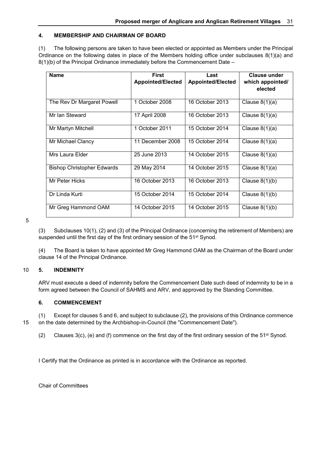#### **4. MEMBERSHIP AND CHAIRMAN OF BOARD**

(1) The following persons are taken to have been elected or appointed as Members under the Principal Ordinance on the following dates in place of the Members holding office under subclauses 8(1)(a) and 8(1)(b) of the Principal Ordinance immediately before the Commencement Date –

| <b>Name</b>                       | <b>First</b><br><b>Appointed/Elected</b> | Last<br><b>Appointed/Elected</b> | <b>Clause under</b><br>which appointed/<br>elected |
|-----------------------------------|------------------------------------------|----------------------------------|----------------------------------------------------|
| The Rev Dr Margaret Powell        | 1 October 2008                           | 16 October 2013                  | Clause $8(1)(a)$                                   |
| Mr Ian Steward                    | 17 April 2008                            | 16 October 2013                  | Clause $8(1)(a)$                                   |
| Mr Martyn Mitchell                | 1 October 2011                           | 15 October 2014                  | Clause $8(1)(a)$                                   |
| Mr Michael Clancy                 | 11 December 2008                         | 15 October 2014                  | Clause $8(1)(a)$                                   |
| Mrs Laura Elder                   | 25 June 2013                             | 14 October 2015                  | Clause $8(1)(a)$                                   |
| <b>Bishop Christopher Edwards</b> | 29 May 2014                              | 14 October 2015                  | Clause $8(1)(a)$                                   |
| Mr Peter Hicks                    | 16 October 2013                          | 16 October 2013                  | Clause $8(1)(b)$                                   |
| Dr Linda Kurti                    | 15 October 2014                          | 15 October 2014                  | Clause $8(1)(b)$                                   |
| Mr Greg Hammond OAM               | 14 October 2015                          | 14 October 2015                  | Clause $8(1)(b)$                                   |

5

(3) Subclauses 10(1), (2) and (3) of the Principal Ordinance (concerning the retirement of Members) are suspended until the first day of the first ordinary session of the 51<sup>st</sup> Synod.

(4) The Board is taken to have appointed Mr Greg Hammond OAM as the Chairman of the Board under clause 14 of the Principal Ordinance.

#### 10 **5. INDEMNITY**

ARV must execute a deed of indemnity before the Commencement Date such deed of indemnity to be in a form agreed between the Council of SAHMS and ARV, and approved by the Standing Committee.

#### **6. COMMENCEMENT**

(1) Except for clauses 5 and 6, and subject to subclause (2), the provisions of this Ordinance commence 15 on the date determined by the Archbishop-in-Council (the "Commencement Date").

(2) Clauses  $3(c)$ , (e) and (f) commence on the first day of the first ordinary session of the  $51<sup>st</sup>$  Synod.

I Certify that the Ordinance as printed is in accordance with the Ordinance as reported.

Chair of Committees